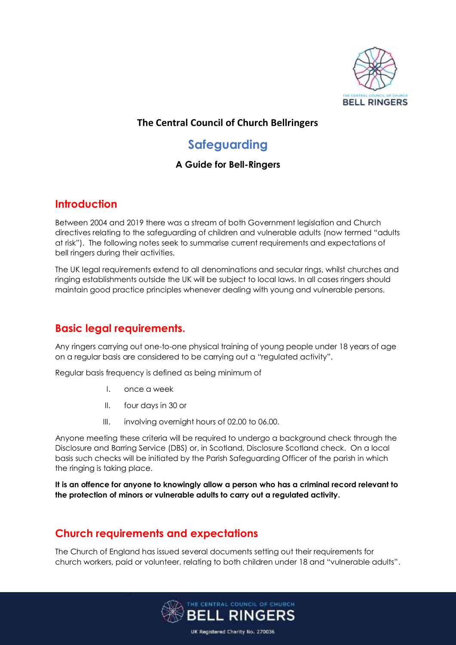

#### **The Central Council of Church Bellringers**

# **Safeguarding**

#### **A Guide for Bell-Ringers**

### **Introduction**

Between 2004 and 2019 there was a stream of both Government legislation and Church directives relating to the safeguarding of children and vulnerable adults (now termed "adults at risk"). The following notes seek to summarise current requirements and expectations of bell ringers during their activities.

The UK legal requirements extend to all denominations and secular rings, whilst churches and ringing establishments outside the UK will be subject to local laws. In all cases ringers should maintain good practice principles whenever dealing with young and vulnerable persons.

### **Basic legal requirements.**

Any ringers carrying out one-to-one physical training of young people under 18 years of age on a regular basis are considered to be carrying out a "regulated activity".

Regular basis frequency is defined as being minimum of

- I. once a week
- II. four days in 30 or
- III. involving overnight hours of 02.00 to 06.00.

Anyone meeting these criteria will be required to undergo a background check through the Disclosure and Barring Service (DBS) or, in Scotland, Disclosure Scotland check. On a local basis such checks will be initiated by the Parish Safeguarding Officer of the parish in which the ringing is taking place.

**It is an offence for anyone to knowingly allow a person who has a criminal record relevant to the protection of minors or vulnerable adults to carry out a regulated activity.**

### **Church requirements and expectations**

The Church of England has issued several documents setting out their requirements for church workers, paid or volunteer, relating to both children under 18 and "vulnerable adults".

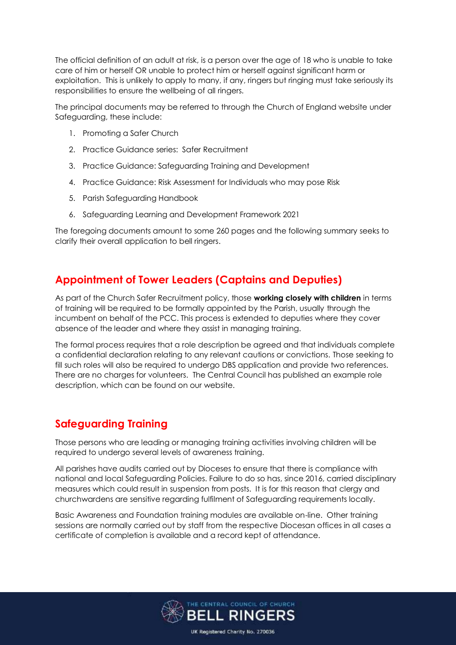The official definition of an adult at risk, is a person over the age of 18 who is unable to take care of him or herself OR unable to protect him or herself against significant harm or exploitation. This is unlikely to apply to many, if any, ringers but ringing must take seriously its responsibilities to ensure the wellbeing of all ringers.

The principal documents may be referred to through the Church of England website under Safeguarding, these include:

- 1. Promoting a Safer Church
- 2. Practice Guidance series: Safer Recruitment
- 3. Practice Guidance: Safeguarding Training and Development
- 4. Practice Guidance: Risk Assessment for Individuals who may pose Risk
- 5. Parish Safeguarding Handbook
- 6. Safeguarding Learning and Development Framework 2021

The foregoing documents amount to some 260 pages and the following summary seeks to clarify their overall application to bell ringers.

### **Appointment of Tower Leaders (Captains and Deputies)**

As part of the Church Safer Recruitment policy, those **working closely with children** in terms of training will be required to be formally appointed by the Parish, usually through the incumbent on behalf of the PCC. This process is extended to deputies where they cover absence of the leader and where they assist in managing training.

The formal process requires that a role description be agreed and that individuals complete a confidential declaration relating to any relevant cautions or convictions. Those seeking to fill such roles will also be required to undergo DBS application and provide two references. There are no charges for volunteers. The Central Council has published an example role description, which can be found on our website.

### **Safeguarding Training**

Those persons who are leading or managing training activities involving children will be required to undergo several levels of awareness training.

All parishes have audits carried out by Dioceses to ensure that there is compliance with national and local Safeguarding Policies. Failure to do so has, since 2016, carried disciplinary measures which could result in suspension from posts. It is for this reason that clergy and churchwardens are sensitive regarding fulfilment of Safeguarding requirements locally.

Basic Awareness and Foundation training modules are available on-line. Other training sessions are normally carried out by staff from the respective Diocesan offices in all cases a certificate of completion is available and a record kept of attendance.

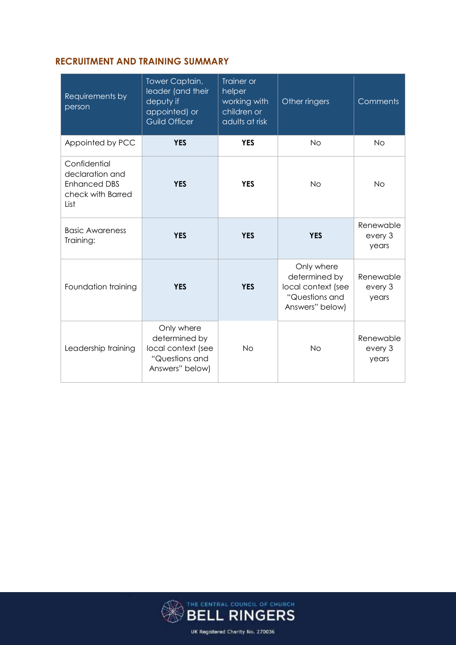#### **RECRUITMENT AND TRAINING SUMMARY**

| Requirements by<br>person                                                           | Tower Captain,<br>leader (and their<br>deputy if<br>appointed) or<br><b>Guild Officer</b> | Trainer or<br>helper<br>working with<br>children or<br>adults at risk | Other ringers                                                                          | Comments                      |
|-------------------------------------------------------------------------------------|-------------------------------------------------------------------------------------------|-----------------------------------------------------------------------|----------------------------------------------------------------------------------------|-------------------------------|
| Appointed by PCC                                                                    | <b>YES</b>                                                                                | <b>YES</b>                                                            | <b>No</b>                                                                              | <b>No</b>                     |
| Confidential<br>declaration and<br><b>Enhanced DBS</b><br>check with Barred<br>List | <b>YES</b>                                                                                | <b>YES</b>                                                            | <b>No</b>                                                                              | <b>No</b>                     |
| <b>Basic Awareness</b><br>Training:                                                 | <b>YES</b>                                                                                | <b>YES</b>                                                            | <b>YES</b>                                                                             | Renewable<br>every 3<br>years |
| Foundation training                                                                 | <b>YES</b>                                                                                | <b>YES</b>                                                            | Only where<br>determined by<br>local context (see<br>"Questions and<br>Answers" below) | Renewable<br>every 3<br>years |
| Leadership training                                                                 | Only where<br>determined by<br>local context (see<br>"Questions and<br>Answers" below)    | <b>No</b>                                                             | <b>No</b>                                                                              | Renewable<br>every 3<br>years |

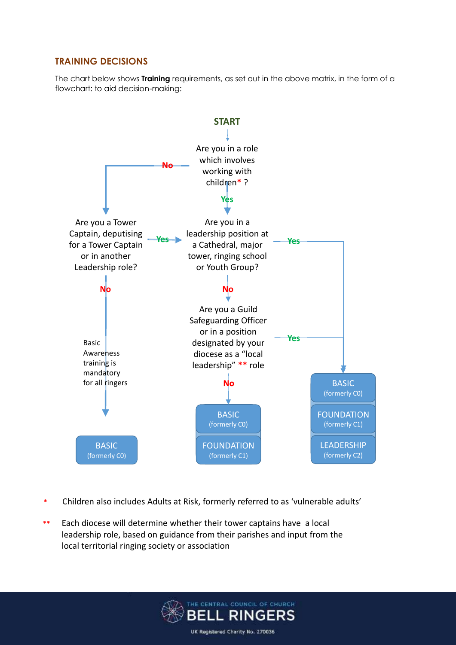#### **TRAINING DECISIONS**

The chart below shows **Training** requirements, as set out in the above matrix, in the form of a flowchart: to aid decision-making:



- **\*** Children also includes Adults at Risk, formerly referred to as 'vulnerable adults'
- **\*\*** Each diocese will determine whether their tower captains have a local leadership role, based on guidance from their parishes and input from the local territorial ringing society or association

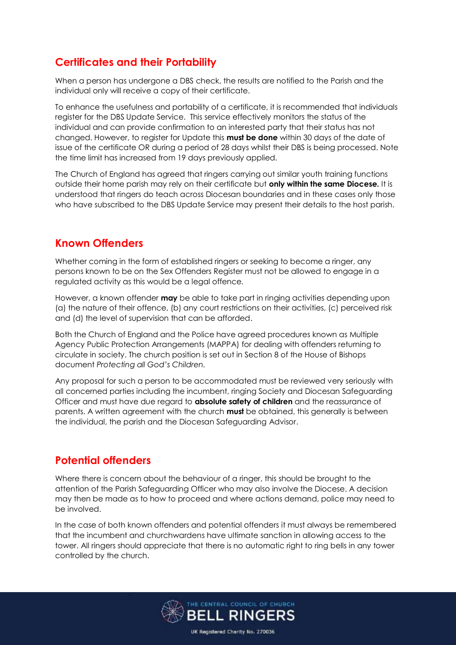## **Certificates and their Portability**

When a person has undergone a DBS check, the results are notified to the Parish and the individual only will receive a copy of their certificate.

To enhance the usefulness and portability of a certificate, it is recommended that individuals register for the DBS Update Service. This service effectively monitors the status of the individual and can provide confirmation to an interested party that their status has not changed. However, to register for Update this **must be done** within 30 days of the date of issue of the certificate OR during a period of 28 days whilst their DBS is being processed. Note the time limit has increased from 19 days previously applied.

The Church of England has agreed that ringers carrying out similar youth training functions outside their home parish may rely on their certificate but **only within the same Diocese.** It is understood that ringers do teach across Diocesan boundaries and in these cases only those who have subscribed to the DBS Update Service may present their details to the host parish.

#### **Known Offenders**

Whether coming in the form of established ringers or seeking to become a ringer, any persons known to be on the Sex Offenders Register must not be allowed to engage in a regulated activity as this would be a legal offence.

However, a known offender **may** be able to take part in ringing activities depending upon (a) the nature of their offence, (b) any court restrictions on their activities, (c) perceived risk and (d) the level of supervision that can be afforded.

Both the Church of England and the Police have agreed procedures known as Multiple Agency Public Protection Arrangements (MAPPA) for dealing with offenders returning to circulate in society. The church position is set out in Section 8 of the House of Bishops document *Protecting all God's Children.*

Any proposal for such a person to be accommodated must be reviewed very seriously with all concerned parties including the incumbent, ringing Society and Diocesan Safeguarding Officer and must have due regard to **absolute safety of children** and the reassurance of parents. A written agreement with the church **must** be obtained, this generally is between the individual, the parish and the Diocesan Safeguarding Advisor.

## **Potential offenders**

Where there is concern about the behaviour of a ringer, this should be brought to the attention of the Parish Safeguarding Officer who may also involve the Diocese. A decision may then be made as to how to proceed and where actions demand, police may need to be involved.

In the case of both known offenders and potential offenders it must always be remembered that the incumbent and churchwardens have ultimate sanction in allowing access to the tower. All ringers should appreciate that there is no automatic right to ring bells in any tower controlled by the church.

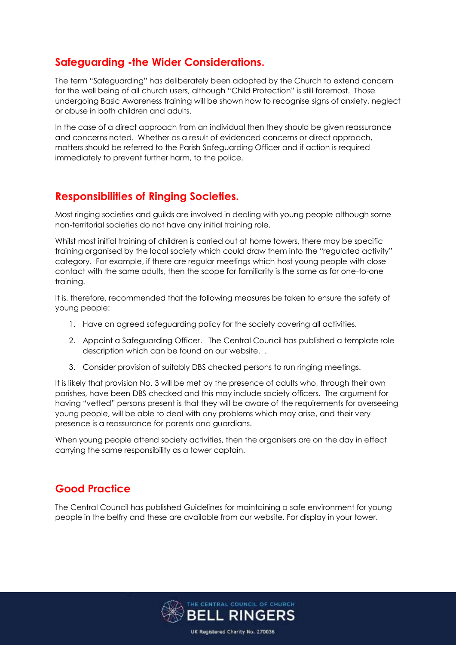### **Safeguarding -the Wider Considerations.**

The term "Safeguarding" has deliberately been adopted by the Church to extend concern for the well being of all church users, although "Child Protection" is still foremost. Those undergoing Basic Awareness training will be shown how to recognise signs of anxiety, neglect or abuse in both children and adults.

In the case of a direct approach from an individual then they should be given reassurance and concerns noted. Whether as a result of evidenced concerns or direct approach, matters should be referred to the Parish Safeguarding Officer and if action is required immediately to prevent further harm, to the police.

## **Responsibilities of Ringing Societies.**

Most ringing societies and guilds are involved in dealing with young people although some non-territorial societies do not have any initial training role.

Whilst most initial training of children is carried out at home towers, there may be specific training organised by the local society which could draw them into the "regulated activity" category. For example, if there are regular meetings which host young people with close contact with the same adults, then the scope for familiarity is the same as for one-to-one training.

It is, therefore, recommended that the following measures be taken to ensure the safety of young people:

- 1. Have an agreed safeguarding policy for the society covering all activities.
- 2. Appoint a Safeguarding Officer. The Central Council has published a template role description which can be found on our website. .
- 3. Consider provision of suitably DBS checked persons to run ringing meetings.

It is likely that provision No. 3 will be met by the presence of adults who, through their own parishes, have been DBS checked and this may include society officers. The argument for having "vetted" persons present is that they will be aware of the requirements for overseeing young people, will be able to deal with any problems which may arise, and their very presence is a reassurance for parents and guardians.

When young people attend society activities, then the organisers are on the day in effect carrying the same responsibility as a tower captain.

## **Good Practice**

The Central Council has published Guidelines for maintaining a safe environment for young people in the belfry and these are available from our website. For display in your tower.

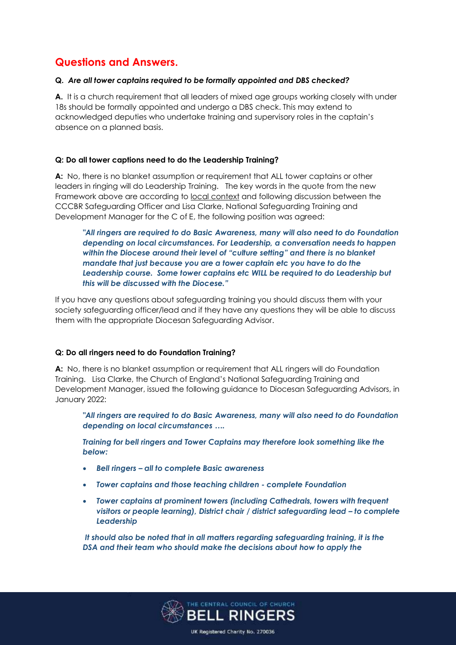## **Questions and Answers.**

#### **Q.** *Are all tower captains required to be formally appointed and DBS checked?*

**A.** It is a church requirement that all leaders of mixed age groups working closely with under 18s should be formally appointed and undergo a DBS check. This may extend to acknowledged deputies who undertake training and supervisory roles in the captain's absence on a planned basis.

#### **Q: Do all tower captions need to do the Leadership Training?**

**A:** No, there is no blanket assumption or requirement that ALL tower captains or other leaders in ringing will do Leadership Training. The key words in the quote from the new Framework above are according to local context and following discussion between the CCCBR Safeguarding Officer and Lisa Clarke, National Safeguarding Training and Development Manager for the C of E, the following position was agreed:

*"All ringers are required to do Basic Awareness, many will also need to do Foundation depending on local circumstances. For Leadership, a conversation needs to happen within the Diocese around their level of "culture setting" and there is no blanket mandate that just because you are a tower captain etc you have to do the Leadership course. Some tower captains etc WILL be required to do Leadership but this will be discussed with the Diocese."*

If you have any questions about safeguarding training you should discuss them with your society safeguarding officer/lead and if they have any questions they will be able to discuss them with the appropriate Diocesan Safeguarding Advisor.

#### **Q: Do all ringers need to do Foundation Training?**

**A:** No, there is no blanket assumption or requirement that ALL ringers will do Foundation Training. Lisa Clarke, the Church of England's National Safeguarding Training and Development Manager, issued the following guidance to Diocesan Safeguarding Advisors, in January 2022:

*"All ringers are required to do Basic Awareness, many will also need to do Foundation depending on local circumstances ….*

*Training for bell ringers and Tower Captains may therefore look something like the below:*

- *Bell ringers – all to complete Basic awareness*
- *Tower captains and those teaching children - complete Foundation*
- *Tower captains at prominent towers (including Cathedrals, towers with frequent visitors or people learning), District chair / district safeguarding lead – to complete Leadership*

*It should also be noted that in all matters regarding safeguarding training, it is the DSA and their team who should make the decisions about how to apply the*